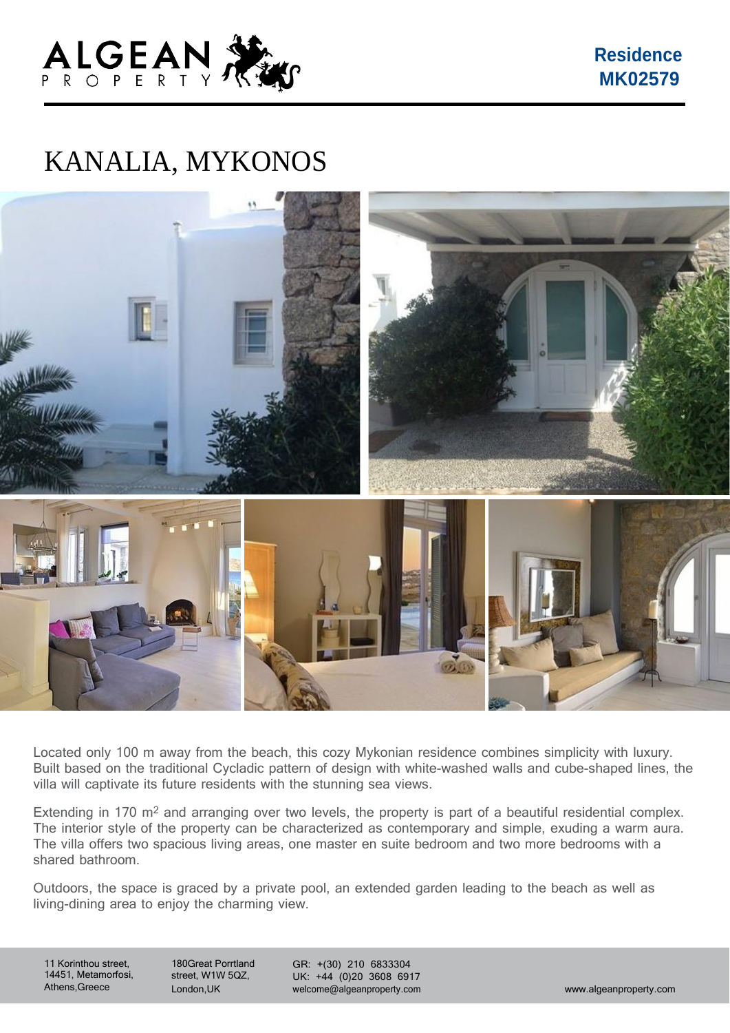

**Residence MK02579**

## KANALIA, MYKONOS



Located only 100 m away from the beach, this cozy Mykonian residence combines simplicity with luxury. Built based on the traditional Cycladic pattern of design with white-washed walls and cube-shaped lines, the villa will captivate its future residents with the stunning sea views.

Extending in 170  $\text{m}^2$  and arranging over two levels, the property is part of a beautiful residential complex. The interior style of the property can be characterized as contemporary and simple, exuding a warm aura. The villa offers two spacious living areas, one master en suite bedroom and two more bedrooms with a shared bathroom.

Outdoors, the space is graced by a private pool, an extended garden leading to the beach as well as living-dining area to enjoy the charming view.

11 Korinthou street, 14451, Metamorfosi, Athens,Greece

180Great Porrtland street, W1W 5QZ, London,UK

GR: +(30) 210 6833304 UK: +44 (0)20 3608 6917 [welcome@algeanproperty.com](mailto:welcome@algeanproperty.com) [www.algeanproperty.com](http://www.algeanproperty.com/)